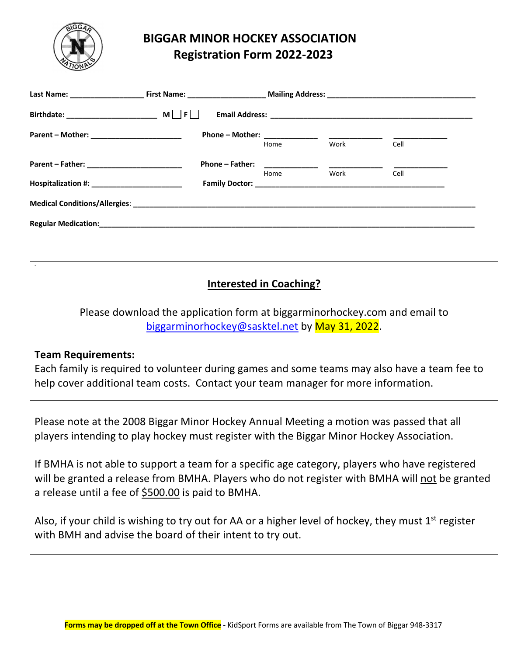

# **BIGGAR MINOR HOCKEY ASSOCIATION Registration Form 2022-2023**

|                                             |                                                                                                                                                                                                                                | Home | Work | Cell |  |
|---------------------------------------------|--------------------------------------------------------------------------------------------------------------------------------------------------------------------------------------------------------------------------------|------|------|------|--|
|                                             | <b>Phone - Father:</b>                                                                                                                                                                                                         |      |      |      |  |
|                                             |                                                                                                                                                                                                                                | Home | Work | Cell |  |
| Hospitalization #: ________________________ | <b>Family Doctor: Example 2018</b>                                                                                                                                                                                             |      |      |      |  |
|                                             |                                                                                                                                                                                                                                |      |      |      |  |
|                                             | Regular Medication: Note and the contract of the contract of the contract of the contract of the contract of the contract of the contract of the contract of the contract of the contract of the contract of the contract of t |      |      |      |  |

## **Interested in Coaching?**

Please download the application form at biggarminorhockey.com and email to biggarminorhockey@sasktel.net by May 31, 2022.

### **Team Requirements:**

**.**

Each family is required to volunteer during games and some teams may also have a team fee to help cover additional team costs. Contact your team manager for more information.

Please note at the 2008 Biggar Minor Hockey Annual Meeting a motion was passed that all players intending to play hockey must register with the Biggar Minor Hockey Association.

If BMHA is not able to support a team for a specific age category, players who have registered will be granted a release from BMHA. Players who do not register with BMHA will not be granted a release until a fee of \$500.00 is paid to BMHA.

Also, if your child is wishing to try out for AA or a higher level of hockey, they must  $1<sup>st</sup>$  register with BMH and advise the board of their intent to try out.